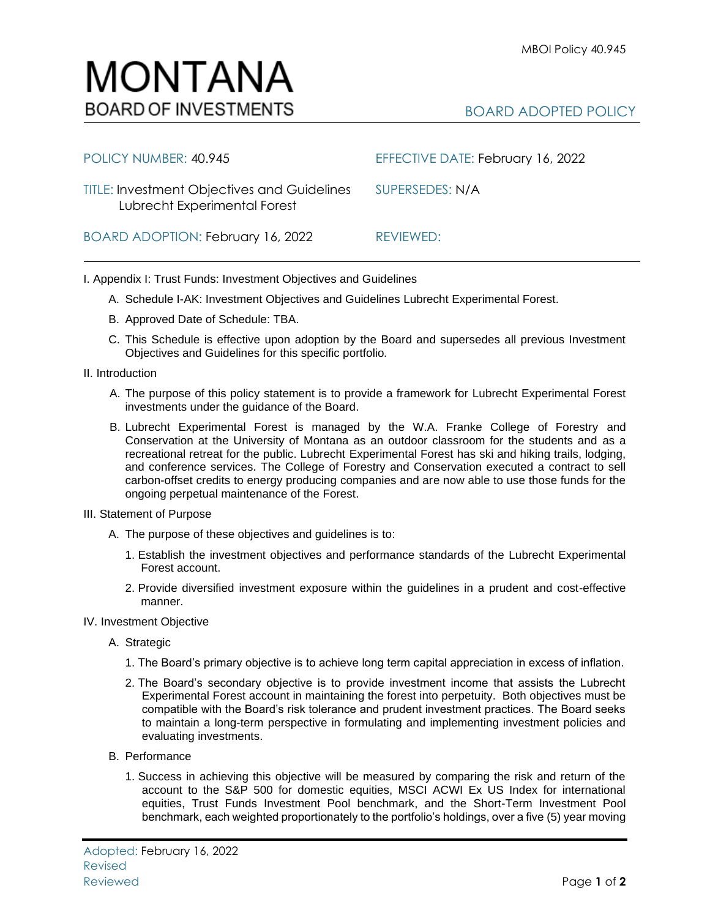## MONTANA **BOARD OF INVESTMENTS**

| POLICY NUMBER: 40.945                                                              | EFFECTIVE DATE: February 16, 2022 |
|------------------------------------------------------------------------------------|-----------------------------------|
| <b>TITLE: Investment Objectives and Guidelines</b><br>Lubrecht Experimental Forest | SUPERSEDES: N/A                   |
| BOARD ADOPTION: February 16, 2022                                                  | REVIEWED:                         |

I. Appendix I: Trust Funds: Investment Objectives and Guidelines

- A. Schedule I-AK: Investment Objectives and Guidelines Lubrecht Experimental Forest.
- B. Approved Date of Schedule: TBA.
- C. This Schedule is effective upon adoption by the Board and supersedes all previous Investment Objectives and Guidelines for this specific portfolio*.*
- II. Introduction
	- A. The purpose of this policy statement is to provide a framework for Lubrecht Experimental Forest investments under the guidance of the Board.
	- B. Lubrecht Experimental Forest is managed by the W.A. Franke College of Forestry and Conservation at the University of Montana as an outdoor classroom for the students and as a recreational retreat for the public. Lubrecht Experimental Forest has ski and hiking trails, lodging, and conference services. The College of Forestry and Conservation executed a contract to sell carbon-offset credits to energy producing companies and are now able to use those funds for the ongoing perpetual maintenance of the Forest.
- III. Statement of Purpose
	- A. The purpose of these objectives and guidelines is to:
		- 1. Establish the investment objectives and performance standards of the Lubrecht Experimental Forest account.
		- 2. Provide diversified investment exposure within the guidelines in a prudent and cost-effective manner.
- IV. Investment Objective
	- A. Strategic
		- 1. The Board's primary objective is to achieve long term capital appreciation in excess of inflation.
		- 2. The Board's secondary objective is to provide investment income that assists the Lubrecht Experimental Forest account in maintaining the forest into perpetuity. Both objectives must be compatible with the Board's risk tolerance and prudent investment practices. The Board seeks to maintain a long-term perspective in formulating and implementing investment policies and evaluating investments.
	- B. Performance
		- 1. Success in achieving this objective will be measured by comparing the risk and return of the account to the S&P 500 for domestic equities, MSCI ACWI Ex US Index for international equities, Trust Funds Investment Pool benchmark, and the Short-Term Investment Pool benchmark, each weighted proportionately to the portfolio's holdings, over a five (5) year moving